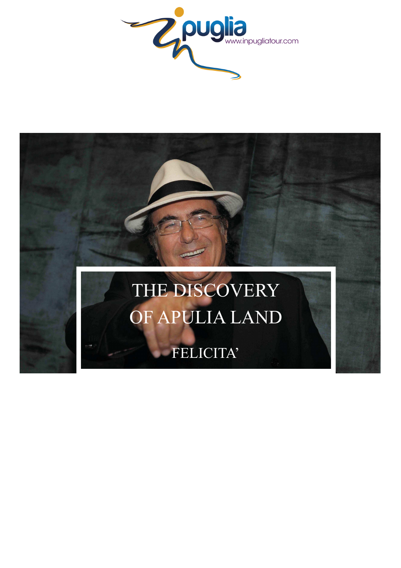

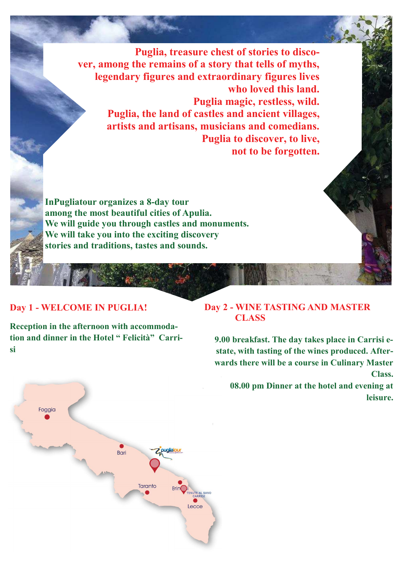**Puglia, treasure chest of stories to discover, among the remains of a story that tells of myths, legendary figures and extraordinary figures lives who loved this land. Puglia magic, restless, wild. Puglia, the land of castles and ancient villages, artists and artisans, musicians and comedians. Puglia to discover, to live, not to be forgotten.** 

**InPugliatour organizes a 8-day tour among the most beautiful cities of Apulia. We will guide you through castles and monuments. We will take you into the exciting discovery stories and traditions, tastes and sounds.** 

## **Day 1 - WELCOME IN PUGLIA!**

**Reception in the afternoon with accommodation and dinner in the Hotel " Felicità" Carrisi** 



**9.00 breakfast. The day takes place in Carrisi estate, with tasting of the wines produced. Afterwards there will be a course in Culinary Master Class.** 

**08.00 pm Dinner at the hotel and evening at leisure.** 

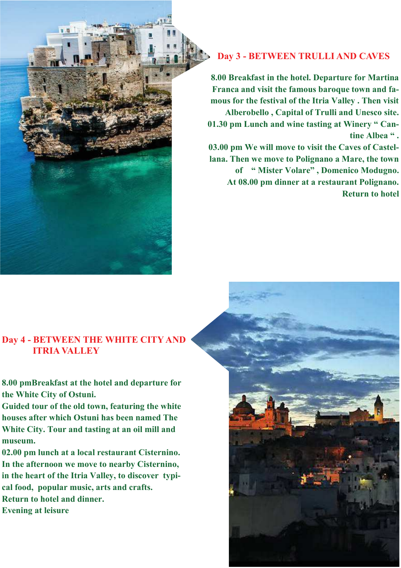## **Day 3 - BETWEEN TRULLI AND CAVES**

**8.00 Breakfast in the hotel. Departure for Martina Franca and visit the famous baroque town and famous for the festival of the Itria Valley . Then visit Alberobello , Capital of Trulli and Unesco site. 01.30 pm Lunch and wine tasting at Winery " Cantine Albea " . 03.00 pm We will move to visit the Caves of Castellana. Then we move to Polignano a Mare, the town of " Mister Volare" , Domenico Modugno. At 08.00 pm dinner at a restaurant Polignano.** 

**Return to hotel** 

## **Day 4 - BETWEEN THE WHITE CITY AND ITRIA VALLEY**

**8.00 pmBreakfast at the hotel and departure for the White City of Ostuni.** 

**Guided tour of the old town, featuring the white houses after which Ostuni has been named The White City. Tour and tasting at an oil mill and museum.** 

**02.00 pm lunch at a local restaurant Cisternino. In the afternoon we move to nearby Cisternino, in the heart of the Itria Valley, to discover typical food, popular music, arts and crafts. Return to hotel and dinner.** 

**Evening at leisure**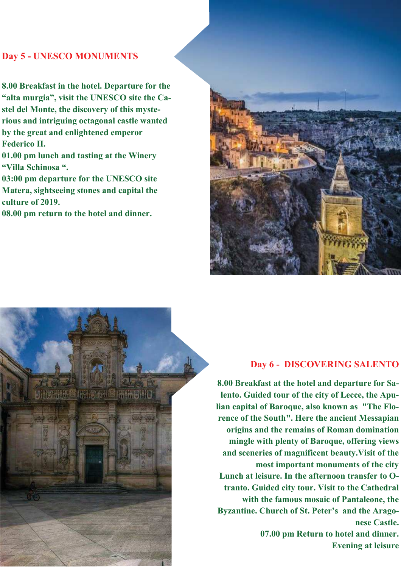# **Day 5 - UNESCO MONUMENTS**

**8.00 Breakfast in the hotel. Departure for the "alta murgia", visit the UNESCO site the Castel del Monte, the discovery of this mysterious and intriguing octagonal castle wanted by the great and enlightened emperor Federico II.** 

**01.00 pm lunch and tasting at the Winery "Villa Schinosa ".**

**03:00 pm departure for the UNESCO site Matera, sightseeing stones and capital the culture of 2019.** 

**08.00 pm return to the hotel and dinner.** 





#### **Day 6 - DISCOVERING SALENTO**

**8.00 Breakfast at the hotel and departure for Salento. Guided tour of the city of Lecce, the Apulian capital of Baroque, also known as "The Florence of the South". Here the ancient Messapian origins and the remains of Roman domination mingle with plenty of Baroque, offering views and sceneries of magnificent beauty.Visit of the most important monuments of the city Lunch at leisure. In the afternoon transfer to Otranto. Guided city tour. Visit to the Cathedral with the famous mosaic of Pantaleone, the Byzantine. Church of St. Peter's and the Aragonese Castle. 07.00 pm Return to hotel and dinner. Evening at leisure**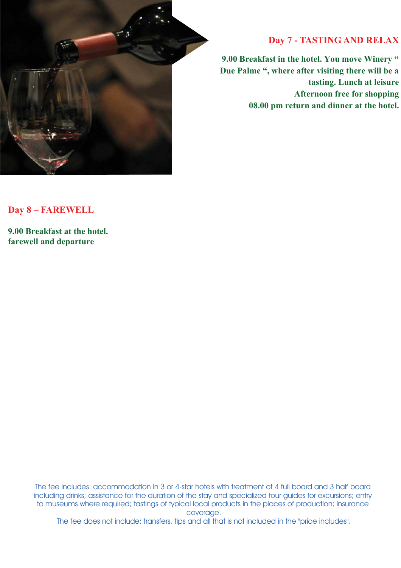

### **Day 7 - TASTING AND RELAX**

**9.00 Breakfast in the hotel. You move Winery " Due Palme ", where after visiting there will be a tasting. Lunch at leisure Afternoon free for shopping 08.00 pm return and dinner at the hotel.** 

**Day 8 – FAREWELL** 

**9.00 Breakfast at the hotel. farewell and departure** 

> The fee includes: accommodation in 3 or 4-star hotels with treatment of 4 full board and 3 half board including drinks; assistance for the duration of the stay and specialized tour guides for excursions; entry to museums where required; tastings of typical local products in the places of production; insurance coverage.

The fee does not include: transfers, tips and all that is not included in the "price includes".